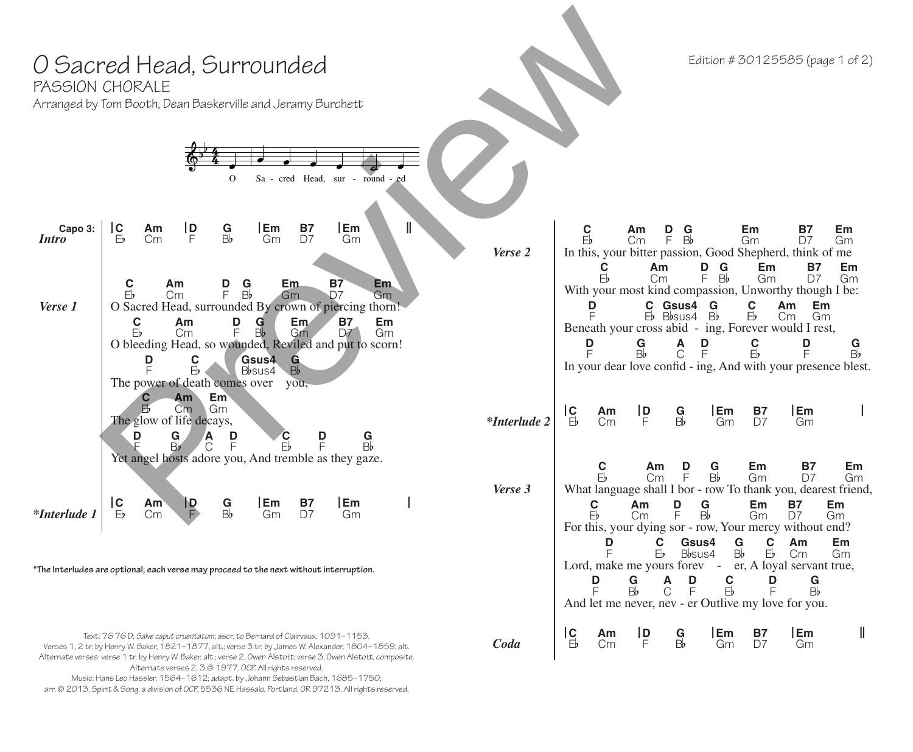| O Sacred Head, Surrounded<br>PASSION CHORALE<br>Arranged by Tom Booth, Dean Baskerville and Jeramy Burchett                                                                                                                                                                                                                                                                                                                                                                          |                     | Edition #30125585 (page 1 of 2)                                                                                                                                                                                                                                                                                                                                                                   |
|--------------------------------------------------------------------------------------------------------------------------------------------------------------------------------------------------------------------------------------------------------------------------------------------------------------------------------------------------------------------------------------------------------------------------------------------------------------------------------------|---------------------|---------------------------------------------------------------------------------------------------------------------------------------------------------------------------------------------------------------------------------------------------------------------------------------------------------------------------------------------------------------------------------------------------|
| Sa - cred Head, sur - round - ed<br>O                                                                                                                                                                                                                                                                                                                                                                                                                                                |                     |                                                                                                                                                                                                                                                                                                                                                                                                   |
| Em<br><b>B7</b><br> c <br> Em<br>Capo 3:<br> D <br>$\frac{G}{B}$<br>Am<br>D7<br>Eb<br>F<br>Gm<br><i>Intro</i><br>Gm<br>Сm                                                                                                                                                                                                                                                                                                                                                            | Verse 2             | C<br>Eb<br>D<br>Em<br><b>B7</b><br>Em<br>Am<br>G<br>$\overline{B}$<br>F<br>Cm<br>Gm<br>D7<br>Gm<br>In this, your bitter passion, Good Shepherd, think of me<br>$\frac{G}{B}$<br>Em<br>Am<br>D<br>Em<br>С<br><b>B7</b><br>$\mathsf{F}^{\mathsf{b}}$<br>F<br>Cm<br>Gm<br>Gm<br>D7                                                                                                                   |
| Em.<br><b>B7</b><br>C<br>Am<br>Ģ<br><u>Em</u><br>$\frac{D}{F}$<br>$\overline{B}$<br>$E_{b}$<br>Cm<br>Gm<br>D7.<br>Gm<br>O Sacred Head, surrounded By crown of piercing thorn!<br>Verse 1<br>$\frac{C}{E}$<br>Am<br>D<br><b>B7</b><br>Em<br>G<br>Em<br>F.<br>B <sub>b</sub><br>Gm<br>D <sub>7</sub><br>Cm<br>Gm<br>O bleeding Head, so wounded, Reviled and put to scorn!<br>Gsus4 G<br>$\frac{D}{D}$<br>С<br>Eb<br>B <sub>b</sub><br>Bbsus4<br>The power of death comes over<br>you, |                     | With your most kind compassion, Unworthy though I be:<br>C Gsus4<br>C<br>Am<br>Em<br>D<br>G<br>Eb<br>$Eb$ Bbsus4 Bb<br>Gm<br>Cm<br>Beneath your cross abid - ing, Forever would I rest,<br>A<br>D<br>$\frac{C}{E}$<br>D<br>D<br>G<br>$\frac{G}{Bb}$<br>F.<br>B <sub>b</sub><br>$\mathsf{F}$<br>F<br>C<br>In your dear love confid - ing, And with your presence blest.                            |
| Em <sub>1</sub><br>Am<br>F,<br>Gm<br>Cm<br>The glow of life decays,<br>D<br>D<br>D<br>G<br>G<br>$\overline{B}b$<br>E<br>F,<br>Yet angel hosts adore you, And tremble as they gaze.                                                                                                                                                                                                                                                                                                   | <i>*Interlude 2</i> | $\mathsf{I}_{\mathsf{E}}^{\mathsf{C}}$<br>Em<br>Em<br>$\mathsf{P}_{\mathsf{F}}$<br>B7<br>$\frac{G}{B}$<br>Am<br>Cm<br>D7<br>Gm<br>Gm                                                                                                                                                                                                                                                              |
| $ {\bf c} $<br> Em<br> Em<br>Am<br>$\blacksquare$<br>G<br><b>B7</b><br>$E_{b}$<br>B <sub>b</sub><br><i>*Interlude 1</i><br>D7<br>Gm<br>Cm<br>Gm                                                                                                                                                                                                                                                                                                                                      | Verse 3             | <b>B7</b><br>Em<br>C<br>Em<br>D<br>G<br>Am<br>F.<br>B <sub>b</sub><br>D7<br>Gm<br>Gm<br>Cm<br>What language shall I bor - row To thank you, dearest friend,<br><b>B7</b><br>$\frac{\mathsf{C}}{\mathbb{E}^{\mathsf{b}}}$<br>D<br>$\frac{G}{B}$<br>Em<br>Em<br>Am<br>F<br>D7<br>Cm<br>Gm<br>Gm<br>For this, your dying sor - row, Your mercy without end?<br>C<br>G<br>C<br>Am<br>Em<br>D<br>Gsus4 |
| *The Interludes are optional; each verse may proceed to the next without interruption.                                                                                                                                                                                                                                                                                                                                                                                               |                     | Eb<br>Eb<br>Bb<br>Bbsus4<br>Cm<br>Gm<br>Lord, make me yours forev - er, A loyal servant true,<br>$\frac{C}{E}$<br>Ģ<br>D<br>D<br>$\frac{G}{B}$<br>D<br>Α<br>Bb<br>F<br>F<br>F<br>С<br>And let me never, nev - er Outlive my love for you.                                                                                                                                                         |
| Text: 76 76 D; Salve caput cruentatum; ascr. to Bernard of Clairvaux, 1091-1153.<br>Verses 1, 2 tr. by Henry W. Baker, 1821–1877, alt.; verse 3 tr. by James W. Alexander, 1804–1859, alt.<br>Alternate verses: verse 1 tr. by Henry W. Baker, alt.; verse 2, Owen Alstott; verse 3, Owen Alstott, composite.                                                                                                                                                                        | Coda                | C<br>D  <br> Em<br> Em<br>G<br><b>B7</b><br>Ш<br>Am<br>$E_{b}$<br>F<br>B <sub>b</sub><br>D7<br>Gm<br>Cm<br>Gm                                                                                                                                                                                                                                                                                     |

Alternate verses 2, 3 © 1977, OCP. All rights reserved. Music: Hans Leo Hassler, 1564–1612; adapt. by Johann Sebastian Bach, 1685–1750; arr. © 2013, Spirit & Song, a division of OCP, 5536 NE Hassalo, Portland, OR 97213. All rights reserved.